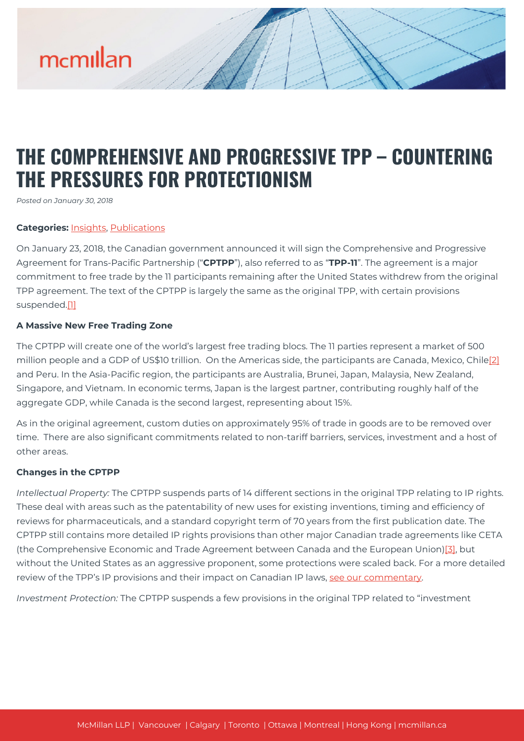# mcmillan

### **THE COMPREHENSIVE AND PROGRESSIVE TPP – COUNTERING THE PRESSURES FOR PROTECTIONISM**

*Posted on January 30, 2018*

#### **Categories:** [Insights,](https://mcmillan.ca/insights/) [Publications](https://mcmillan.ca/insights/publications/)

On January 23, 2018, the Canadian government announced it will sign the Comprehensive and Progressive Agreement for Trans-Pacific Partnership ("**CPTPP**"), also referred to as "**TPP-11**". The agreement is a major commitment to free trade by the 11 participants remaining after the United States withdrew from the original TPP agreement. The text of the CPTPP is largely the same as the original TPP, with certain provisions suspended.[\[1\]](#page--1-0)

#### **A Massive New Free Trading Zone**

The CPTPP will create one of the world's largest free trading blocs. The 11 parties represent a market of 500 million people and a GDP of US\$10 trillion. On the Americas side, the participants are Canada, Mexico, Chile<sup>[\[2\]](#page--1-0)</sup> and Peru. In the Asia-Pacific region, the participants are Australia, Brunei, Japan, Malaysia, New Zealand, Singapore, and Vietnam. In economic terms, Japan is the largest partner, contributing roughly half of the aggregate GDP, while Canada is the second largest, representing about 15%.

As in the original agreement, custom duties on approximately 95% of trade in goods are to be removed over time. There are also significant commitments related to non-tariff barriers, services, investment and a host of other areas.

#### **Changes in the CPTPP**

*Intellectual Property:* The CPTPP suspends parts of 14 different sections in the original TPP relating to IP rights. These deal with areas such as the patentability of new uses for existing inventions, timing and efficiency of reviews for pharmaceuticals, and a standard copyright term of 70 years from the first publication date. The CPTPP still contains more detailed IP rights provisions than other major Canadian trade agreements like CETA (the Comprehensive Economic and Trade Agreement between Canada and the European Union)[\[3\],](#page--1-0) but without the United States as an aggressive proponent, some protections were scaled back. For a more detailed review of the TPP's IP provisions and their impact on Canadian IP laws, [see our commentary](https://mcmillan.ca/insights/the-trans-pacific-partnership-tpp-implications-for-canadian-ip-law/).

*Investment Protection:* The CPTPP suspends a few provisions in the original TPP related to "investment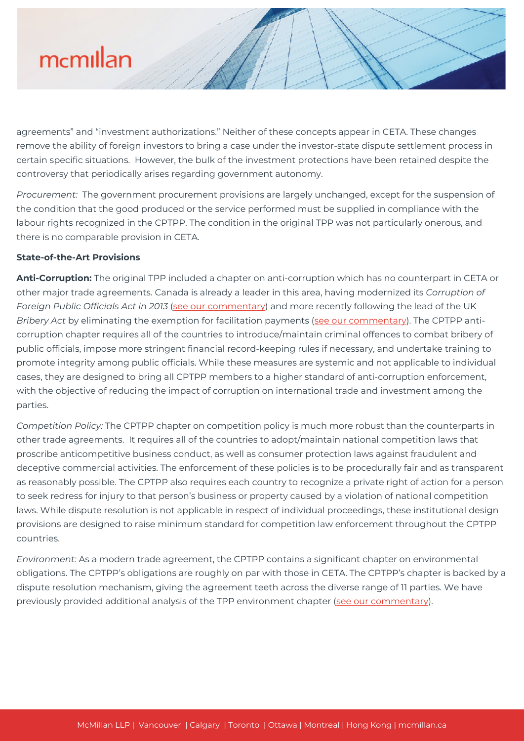# mcmillan

agreements" and "investment authorizations." Neither of these concepts appear in CETA. These changes remove the ability of foreign investors to bring a case under the investor-state dispute settlement process in certain specific situations. However, the bulk of the investment protections have been retained despite the controversy that periodically arises regarding government autonomy.

*Procurement:* The government procurement provisions are largely unchanged, except for the suspension of the condition that the good produced or the service performed must be supplied in compliance with the labour rights recognized in the CPTPP. The condition in the original TPP was not particularly onerous, and there is no comparable provision in CETA.

#### **State-of-the-Art Provisions**

**Anti-Corruption:** The original TPP included a chapter on anti-corruption which has no counterpart in CETA or other major trade agreements. Canada is already a leader in this area, having modernized its *Corruption of Foreign Public Officials Act in 2013* ([see our commentary](https://mcmillan.ca/insights/corporate-directors-beware-canada-passes-tough-amendments-to-anti-corruption-legislation/)) and more recently following the lead of the UK *Bribery Act* by eliminating the exemption for facilitation payments [\(see our commentary\)](https://mcmillan.ca/insights/foreign-corruption-canada-makes-facilitation-payments-illegal/). The CPTPP anticorruption chapter requires all of the countries to introduce/maintain criminal offences to combat bribery of public officials, impose more stringent financial record-keeping rules if necessary, and undertake training to promote integrity among public officials. While these measures are systemic and not applicable to individual cases, they are designed to bring all CPTPP members to a higher standard of anti-corruption enforcement, with the objective of reducing the impact of corruption on international trade and investment among the parties.

*Competition Policy:* The CPTPP chapter on competition policy is much more robust than the counterparts in other trade agreements. It requires all of the countries to adopt/maintain national competition laws that proscribe anticompetitive business conduct, as well as consumer protection laws against fraudulent and deceptive commercial activities. The enforcement of these policies is to be procedurally fair and as transparent as reasonably possible. The CPTPP also requires each country to recognize a private right of action for a person to seek redress for injury to that person's business or property caused by a violation of national competition laws. While dispute resolution is not applicable in respect of individual proceedings, these institutional design provisions are designed to raise minimum standard for competition law enforcement throughout the CPTPP countries.

*Environment:* As a modern trade agreement, the CPTPP contains a significant chapter on environmental obligations. The CPTPP's obligations are roughly on par with those in CETA. The CPTPP's chapter is backed by a dispute resolution mechanism, giving the agreement teeth across the diverse range of 11 parties. We have previously provided additional analysis of the TPP environment chapter [\(see our commentary\)](https://mcmillan.ca/wp-content/uploads/2020/07/187730_Cleaning-up-on-Trade.pd_.pdf).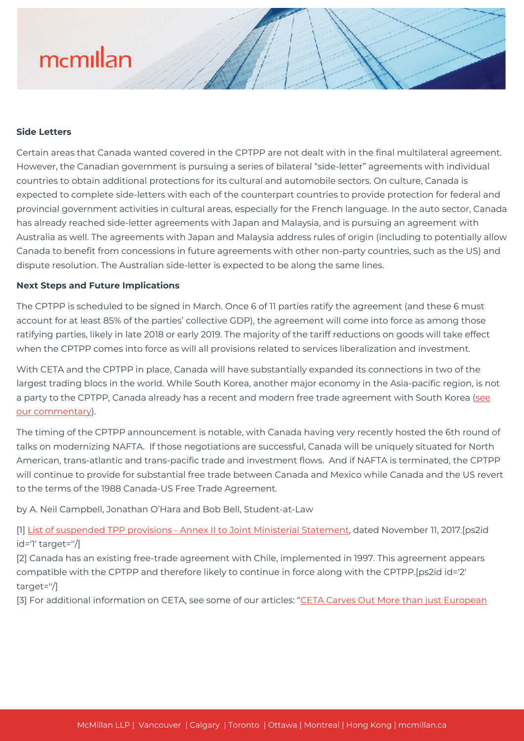### mcmillan

#### **Side Letters**

Certain areas that Canada wanted covered in the CPTPP are not dealt with in the final multilateral agreement. However, the Canadian government is pursuing a series of bilateral "side-letter" agreements with individual countries to obtain additional protections for its cultural and automobile sectors. On culture, Canada is expected to complete side-letters with each of the counterpart countries to provide protection for federal and provincial government activities in cultural areas, especially for the French language. In the auto sector, Canada has already reached side-letter agreements with Japan and Malaysia, and is pursuing an agreement with Australia as well. The agreements with Japan and Malaysia address rules of origin (including to potentially allow Canada to benefit from concessions in future agreements with other non-party countries, such as the US) and dispute resolution. The Australian side-letter is expected to be along the same lines.

#### **Next Steps and Future Implications**

The CPTPP is scheduled to be signed in March. Once 6 of 11 parties ratify the agreement (and these 6 must account for at least 85% of the parties' collective GDP), the agreement will come into force as among those ratifying parties, likely in late 2018 or early 2019. The majority of the tariff reductions on goods will take effect when the CPTPP comes into force as will all provisions related to services liberalization and investment.

With CETA and the CPTPP in place, Canada will have substantially expanded its connections in two of the largest trading blocs in the world. While South Korea, another major economy in the Asia-pacific region, is not a party to the CPTPP, Canada already has a recent and modern free trade agreement with South Korea [\(see](https://mcmillan.ca/insights/the-long-and-winding-road-canada-korea-free-trade-agreement-signed/) [our commentary\)](https://mcmillan.ca/insights/the-long-and-winding-road-canada-korea-free-trade-agreement-signed/).

The timing of the CPTPP announcement is notable, with Canada having very recently hosted the 6th round of talks on modernizing NAFTA. If those negotiations are successful, Canada will be uniquely situated for North American, trans-atlantic and trans-pacific trade and investment flows. And if NAFTA is terminated, the CPTPP will continue to provide for substantial free trade between Canada and Mexico while Canada and the US revert to the terms of the 1988 Canada-US Free Trade Agreement.

by A. Neil Campbell, Jonathan O'Hara and Bob Bell, Student-at-Law

[1] [List of suspended TPP provisions - Annex II to Joint Ministerial Statement,](http://www.international.gc.ca/trade-commerce/trade-agreements-accords-commerciaux/agr-acc/tpp-ptp/annex2-annexe2.aspx?lang=eng) dated November 11, 2017.[ps2id id='1' target=''/]

[2] Canada has an existing free-trade agreement with Chile, implemented in 1997. This agreement appears compatible with the CPTPP and therefore likely to continue in force along with the CPTPP.[ps2id id='2' target=''/]

[3] For additional information on CETA, see some of our articles: ["CETA Carves Out More than just European](https://mcmillan.ca/insights/ceta-carves-out-more-than-just-european-cheese-and-canadian-beef/)